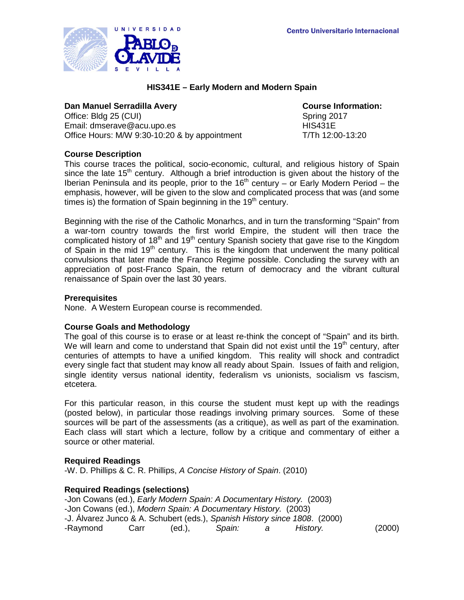

# **HIS341E – Early Modern and Modern Spain**

### **Dan Manuel Serradilla Avery Course Information:**

Office: Bldg 25 (CUI) Spring 2017 Email: dmserave@acu.upo.es HIS431E Office Hours: M/W 9:30-10:20 & by appointment T/Th 12:00-13:20

# **Course Description**

This course traces the political, socio-economic, cultural, and religious history of Spain since the late 15<sup>th</sup> century. Although a brief introduction is given about the history of the Iberian Peninsula and its people, prior to the 16<sup>th</sup> century – or Early Modern Period – the emphasis, however, will be given to the slow and complicated process that was (and some times is) the formation of Spain beginning in the  $19<sup>th</sup>$  century.

Beginning with the rise of the Catholic Monarhcs, and in turn the transforming "Spain" from a war-torn country towards the first world Empire, the student will then trace the complicated history of 18<sup>th</sup> and 19<sup>th</sup> century Spanish society that gave rise to the Kingdom of Spain in the mid 19<sup>th</sup> century. This is the kingdom that underwent the many political convulsions that later made the Franco Regime possible. Concluding the survey with an appreciation of post-Franco Spain, the return of democracy and the vibrant cultural renaissance of Spain over the last 30 years.

### **Prerequisites**

None. A Western European course is recommended.

### **Course Goals and Methodology**

The goal of this course is to erase or at least re-think the concept of "Spain" and its birth. We will learn and come to understand that Spain did not exist until the  $19<sup>th</sup>$  century, after centuries of attempts to have a unified kingdom. This reality will shock and contradict every single fact that student may know all ready about Spain. Issues of faith and religion, single identity versus national identity, federalism vs unionists, socialism vs fascism, etcetera.

For this particular reason, in this course the student must kept up with the readings (posted below), in particular those readings involving primary sources. Some of these sources will be part of the assessments (as a critique), as well as part of the examination. Each class will start which a lecture, follow by a critique and commentary of either a source or other material.

### **Required Readings**

-W. D. Phillips & C. R. Phillips, *A Concise History of Spain*. (2010)

### **Required Readings (selections)**

-Jon Cowans (ed.), *Early Modern Spain: A Documentary History.* (2003) -Jon Cowans (ed.), *Modern Spain: A Documentary History.* (2003) -J. Álvarez Junco & A. Schubert (eds.), *Spanish History since 1808*. (2000) -Raymond Carr (ed.), *Spain: a History.* (2000)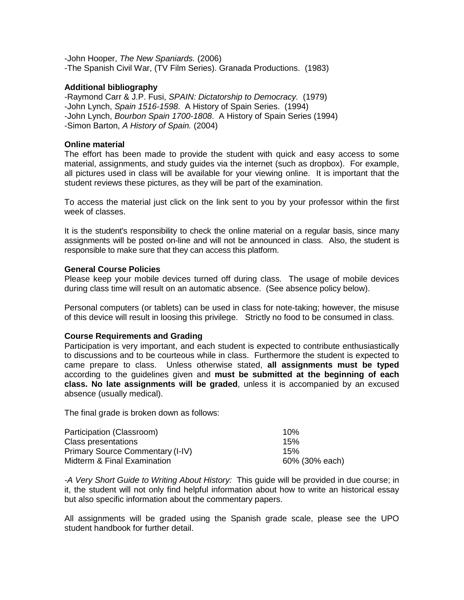-John Hooper, *The New Spaniards.* (2006) -The Spanish Civil War, (TV Film Series). Granada Productions. (1983)

# **Additional bibliography**

-Raymond Carr & J.P. Fusi, *SPAIN: Dictatorship to Democracy.* (1979) -John Lynch, *Spain 1516-1598*. A History of Spain Series. (1994) -John Lynch, *Bourbon Spain 1700-1808*. A History of Spain Series (1994) -Simon Barton, *A History of Spain.* (2004)

### **Online material**

The effort has been made to provide the student with quick and easy access to some material, assignments, and study guides via the internet (such as dropbox). For example, all pictures used in class will be available for your viewing online. It is important that the student reviews these pictures, as they will be part of the examination.

To access the material just click on the link sent to you by your professor within the first week of classes.

It is the student's responsibility to check the online material on a regular basis, since many assignments will be posted on-line and will not be announced in class. Also, the student is responsible to make sure that they can access this platform.

# **General Course Policies**

Please keep your mobile devices turned off during class. The usage of mobile devices during class time will result on an automatic absence. (See absence policy below).

Personal computers (or tablets) can be used in class for note-taking; however, the misuse of this device will result in loosing this privilege. Strictly no food to be consumed in class.

### **Course Requirements and Grading**

Participation is very important, and each student is expected to contribute enthusiastically to discussions and to be courteous while in class. Furthermore the student is expected to came prepare to class. Unless otherwise stated, **all assignments must be typed** according to the guidelines given and **must be submitted at the beginning of each class. No late assignments will be graded**, unless it is accompanied by an excused absence (usually medical).

The final grade is broken down as follows:

| Participation (Classroom)        | 10%            |
|----------------------------------|----------------|
| Class presentations              | 15%            |
| Primary Source Commentary (I-IV) | 15%            |
| Midterm & Final Examination      | 60% (30% each) |

*-A Very Short Guide to Writing About History:* This guide will be provided in due course; in it, the student will not only find helpful information about how to write an historical essay but also specific information about the commentary papers.

All assignments will be graded using the Spanish grade scale, please see the UPO student handbook for further detail.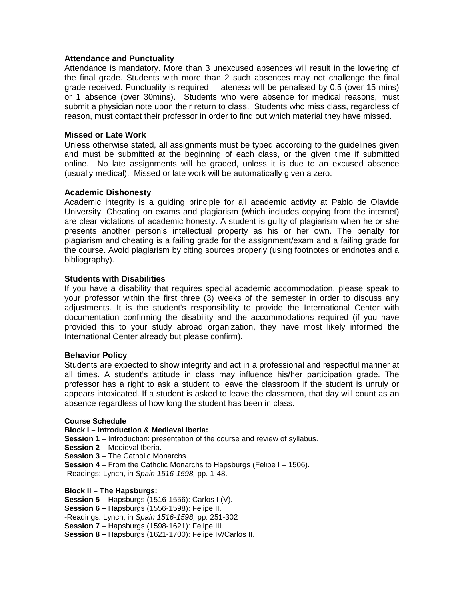### **Attendance and Punctuality**

Attendance is mandatory. More than 3 unexcused absences will result in the lowering of the final grade. Students with more than 2 such absences may not challenge the final grade received. Punctuality is required – lateness will be penalised by 0.5 (over 15 mins) or 1 absence (over 30mins). Students who were absence for medical reasons, must submit a physician note upon their return to class. Students who miss class, regardless of reason, must contact their professor in order to find out which material they have missed.

### **Missed or Late Work**

Unless otherwise stated, all assignments must be typed according to the guidelines given and must be submitted at the beginning of each class, or the given time if submitted online. No late assignments will be graded, unless it is due to an excused absence (usually medical). Missed or late work will be automatically given a zero.

### **Academic Dishonesty**

Academic integrity is a guiding principle for all academic activity at Pablo de Olavide University. Cheating on exams and plagiarism (which includes copying from the internet) are clear violations of academic honesty. A student is guilty of plagiarism when he or she presents another person's intellectual property as his or her own. The penalty for plagiarism and cheating is a failing grade for the assignment/exam and a failing grade for the course. Avoid plagiarism by citing sources properly (using footnotes or endnotes and a bibliography).

# **Students with Disabilities**

If you have a disability that requires special academic accommodation, please speak to your professor within the first three (3) weeks of the semester in order to discuss any adjustments. It is the student's responsibility to provide the International Center with documentation confirming the disability and the accommodations required (if you have provided this to your study abroad organization, they have most likely informed the International Center already but please confirm).

### **Behavior Policy**

Students are expected to show integrity and act in a professional and respectful manner at all times. A student's attitude in class may influence his/her participation grade. The professor has a right to ask a student to leave the classroom if the student is unruly or appears intoxicated. If a student is asked to leave the classroom, that day will count as an absence regardless of how long the student has been in class.

### **Course Schedule**

### **Block I – Introduction & Medieval Iberia:**

**Session 1 –** Introduction: presentation of the course and review of syllabus.

- **Session 2 –** Medieval Iberia.
- **Session 3 –** The Catholic Monarchs.

**Session 4 –** From the Catholic Monarchs to Hapsburgs (Felipe I – 1506).

-Readings: Lynch, in *Spain 1516-1598,* pp. 1-48.

### **Block II – The Hapsburgs:**

**Session 5 –** Hapsburgs (1516-1556): Carlos I (V).

**Session 6 –** Hapsburgs (1556-1598): Felipe II.

-Readings: Lynch, in *Spain 1516-1598,* pp. 251-302

**Session 7 –** Hapsburgs (1598-1621): Felipe III.

**Session 8 –** Hapsburgs (1621-1700): Felipe IV/Carlos II.